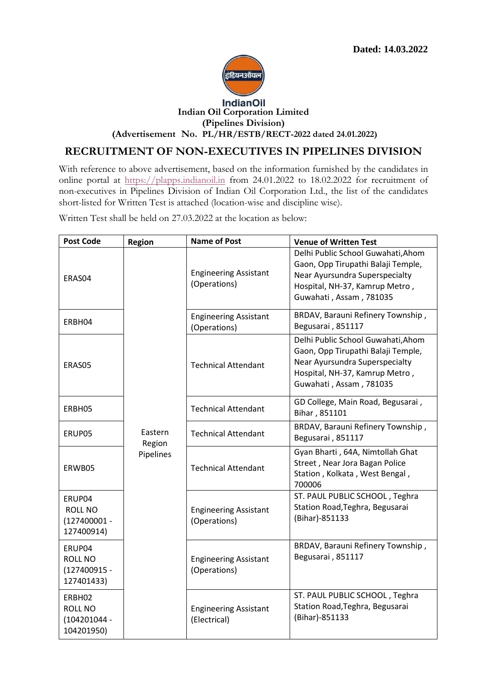

## **Indian Oil Corporation Limited**

**(Pipelines Division)**

**(Advertisement No. PL/HR/ESTB/RECT-2022 dated 24.01.2022)**

## **RECRUITMENT OF NON-EXECUTIVES IN PIPELINES DIVISION**

With reference to above advertisement, based on the information furnished by the candidates in online portal at [https://plapps.indianoil.in](https://plapps.indianoil.in/) from 24.01.2022 to 18.02.2022 for recruitment of non-executives in Pipelines Division of Indian Oil Corporation Ltd., the list of the candidates short-listed for Written Test is attached (location-wise and discipline wise).

Written Test shall be held on 27.03.2022 at the location as below:

| <b>Post Code</b>                                       | <b>Region</b>                  | <b>Name of Post</b>                          | <b>Venue of Written Test</b>                                                                                                                                            |
|--------------------------------------------------------|--------------------------------|----------------------------------------------|-------------------------------------------------------------------------------------------------------------------------------------------------------------------------|
| ERAS04                                                 |                                | <b>Engineering Assistant</b><br>(Operations) | Delhi Public School Guwahati, Ahom<br>Gaon, Opp Tirupathi Balaji Temple,<br>Near Ayursundra Superspecialty<br>Hospital, NH-37, Kamrup Metro,<br>Guwahati, Assam, 781035 |
| ERBH04                                                 |                                | <b>Engineering Assistant</b><br>(Operations) | BRDAV, Barauni Refinery Township,<br>Begusarai, 851117                                                                                                                  |
| ERAS05                                                 |                                | <b>Technical Attendant</b>                   | Delhi Public School Guwahati, Ahom<br>Gaon, Opp Tirupathi Balaji Temple,<br>Near Ayursundra Superspecialty<br>Hospital, NH-37, Kamrup Metro,<br>Guwahati, Assam, 781035 |
| ERBH05                                                 |                                | <b>Technical Attendant</b>                   | GD College, Main Road, Begusarai,<br>Bihar, 851101                                                                                                                      |
| ERUP05                                                 | Eastern<br>Region<br>Pipelines | <b>Technical Attendant</b>                   | BRDAV, Barauni Refinery Township,<br>Begusarai, 851117                                                                                                                  |
| ERWB05                                                 |                                | <b>Technical Attendant</b>                   | Gyan Bharti, 64A, Nimtollah Ghat<br>Street, Near Jora Bagan Police<br>Station, Kolkata, West Bengal,<br>700006                                                          |
| ERUP04<br>ROLL NO<br>$(127400001 -$<br>127400914)      |                                | <b>Engineering Assistant</b><br>(Operations) | ST. PAUL PUBLIC SCHOOL, Teghra<br>Station Road, Teghra, Begusarai<br>(Bihar)-851133                                                                                     |
| ERUP04<br><b>ROLL NO</b><br>(127400915 -<br>127401433) |                                | <b>Engineering Assistant</b><br>(Operations) | BRDAV, Barauni Refinery Township,<br>Begusarai, 851117                                                                                                                  |
| ERBH02<br><b>ROLL NO</b><br>(104201044 -<br>104201950) |                                | <b>Engineering Assistant</b><br>(Electrical) | ST. PAUL PUBLIC SCHOOL, Teghra<br>Station Road, Teghra, Begusarai<br>(Bihar)-851133                                                                                     |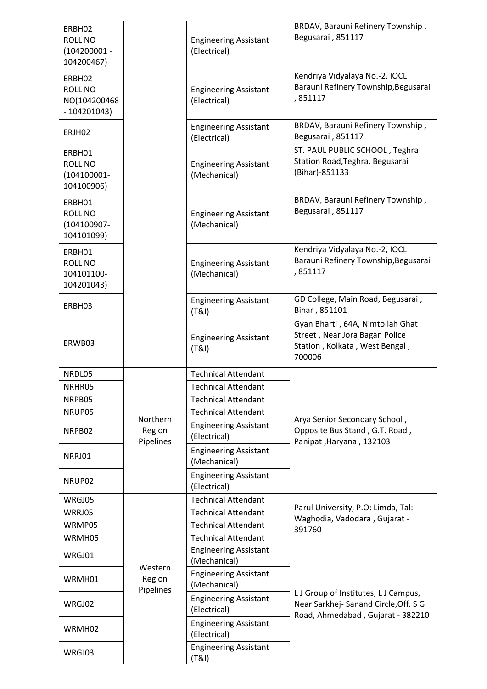| ERBH02<br>ROLL NO<br>$(104200001 -$<br>104200467) |                                 | <b>Engineering Assistant</b><br>(Electrical) | BRDAV, Barauni Refinery Township,<br>Begusarai, 851117                                                            |
|---------------------------------------------------|---------------------------------|----------------------------------------------|-------------------------------------------------------------------------------------------------------------------|
| ERBH02<br>ROLL NO<br>NO(104200468<br>$-104201043$ |                                 | <b>Engineering Assistant</b><br>(Electrical) | Kendriya Vidyalaya No.-2, IOCL<br>Barauni Refinery Township, Begusarai<br>,851117                                 |
| ERJH02                                            |                                 | <b>Engineering Assistant</b><br>(Electrical) | BRDAV, Barauni Refinery Township,<br>Begusarai, 851117                                                            |
| ERBH01<br>ROLL NO<br>$(104100001 -$<br>104100906) |                                 | <b>Engineering Assistant</b><br>(Mechanical) | ST. PAUL PUBLIC SCHOOL, Teghra<br>Station Road, Teghra, Begusarai<br>(Bihar)-851133                               |
| ERBH01<br>ROLL NO<br>(104100907-<br>104101099)    |                                 | <b>Engineering Assistant</b><br>(Mechanical) | BRDAV, Barauni Refinery Township,<br>Begusarai, 851117                                                            |
| ERBH01<br>ROLL NO<br>104101100-<br>104201043)     |                                 | <b>Engineering Assistant</b><br>(Mechanical) | Kendriya Vidyalaya No.-2, IOCL<br>Barauni Refinery Township, Begusarai<br>,851117                                 |
| ERBH03                                            |                                 | <b>Engineering Assistant</b><br>(T&1)        | GD College, Main Road, Begusarai,<br>Bihar, 851101                                                                |
| ERWB03                                            |                                 | <b>Engineering Assistant</b><br>(T&1)        | Gyan Bharti, 64A, Nimtollah Ghat<br>Street, Near Jora Bagan Police<br>Station, Kolkata, West Bengal,<br>700006    |
| NRDL05                                            |                                 | <b>Technical Attendant</b>                   |                                                                                                                   |
| NRHR05                                            |                                 | <b>Technical Attendant</b>                   |                                                                                                                   |
| NRPB05                                            |                                 | <b>Technical Attendant</b>                   |                                                                                                                   |
| NRUP05                                            |                                 | <b>Technical Attendant</b>                   |                                                                                                                   |
| NRPB02                                            | Northern<br>Region<br>Pipelines | <b>Engineering Assistant</b><br>(Electrical) | Arya Senior Secondary School,<br>Opposite Bus Stand, G.T. Road,<br>Panipat, Haryana, 132103                       |
| NRRJ01                                            |                                 | <b>Engineering Assistant</b><br>(Mechanical) |                                                                                                                   |
| NRUP02                                            |                                 | <b>Engineering Assistant</b><br>(Electrical) |                                                                                                                   |
| WRGJ05                                            |                                 | <b>Technical Attendant</b>                   |                                                                                                                   |
| WRRJ05                                            |                                 | <b>Technical Attendant</b>                   | Parul University, P.O: Limda, Tal:<br>Waghodia, Vadodara, Gujarat -                                               |
| WRMP05                                            |                                 | <b>Technical Attendant</b>                   | 391760                                                                                                            |
| WRMH05                                            | Western<br>Region<br>Pipelines  | <b>Technical Attendant</b>                   |                                                                                                                   |
| WRGJ01                                            |                                 | <b>Engineering Assistant</b><br>(Mechanical) |                                                                                                                   |
| WRMH01                                            |                                 | <b>Engineering Assistant</b><br>(Mechanical) |                                                                                                                   |
| WRGJ02                                            |                                 | <b>Engineering Assistant</b><br>(Electrical) | L J Group of Institutes, L J Campus,<br>Near Sarkhej-Sanand Circle, Off. S G<br>Road, Ahmedabad, Gujarat - 382210 |
| WRMH02                                            |                                 | <b>Engineering Assistant</b><br>(Electrical) |                                                                                                                   |
| WRGJ03                                            |                                 | <b>Engineering Assistant</b><br>(T&I)        |                                                                                                                   |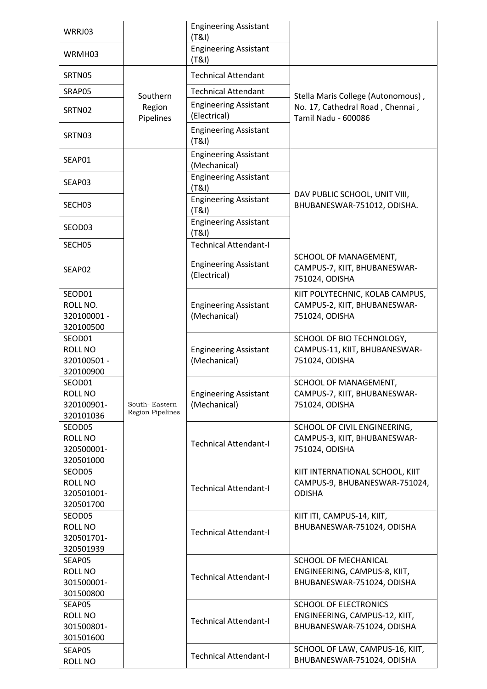| WRRJ03                                               |                                          | <b>Engineering Assistant</b><br>(T&1)        |                                                                                               |
|------------------------------------------------------|------------------------------------------|----------------------------------------------|-----------------------------------------------------------------------------------------------|
| WRMH03                                               |                                          | <b>Engineering Assistant</b><br>(T&1)        |                                                                                               |
| SRTN05                                               | Southern<br>Region<br>Pipelines          | <b>Technical Attendant</b>                   | Stella Maris College (Autonomous),<br>No. 17, Cathedral Road, Chennai,<br>Tamil Nadu - 600086 |
| SRAP05                                               |                                          | <b>Technical Attendant</b>                   |                                                                                               |
| SRTN02                                               |                                          | <b>Engineering Assistant</b><br>(Electrical) |                                                                                               |
| SRTN03                                               |                                          | <b>Engineering Assistant</b><br>(T&1)        |                                                                                               |
| SEAP01                                               |                                          | <b>Engineering Assistant</b><br>(Mechanical) |                                                                                               |
| SEAP03                                               |                                          | <b>Engineering Assistant</b><br>(T&1)        | DAV PUBLIC SCHOOL, UNIT VIII,<br>BHUBANESWAR-751012, ODISHA.                                  |
| SECH03                                               |                                          | <b>Engineering Assistant</b><br>(T&1)        |                                                                                               |
| SEOD03                                               |                                          | <b>Engineering Assistant</b><br>(T&1)        |                                                                                               |
| SECH05                                               |                                          | <b>Technical Attendant-I</b>                 |                                                                                               |
| SEAP02                                               | South-Eastern<br><b>Region Pipelines</b> | <b>Engineering Assistant</b><br>(Electrical) | SCHOOL OF MANAGEMENT,<br>CAMPUS-7, KIIT, BHUBANESWAR-<br>751024, ODISHA                       |
| SEOD01<br>ROLL NO.<br>320100001 -<br>320100500       |                                          | <b>Engineering Assistant</b><br>(Mechanical) | KIIT POLYTECHNIC, KOLAB CAMPUS,<br>CAMPUS-2, KIIT, BHUBANESWAR-<br>751024, ODISHA             |
| SEOD01<br><b>ROLL NO</b><br>320100501 -<br>320100900 |                                          | <b>Engineering Assistant</b><br>(Mechanical) | SCHOOL OF BIO TECHNOLOGY,<br>CAMPUS-11, KIIT, BHUBANESWAR-<br>751024, ODISHA                  |
| SEOD01<br>ROLL NO<br>320100901-<br>320101036         |                                          | <b>Engineering Assistant</b><br>(Mechanical) | SCHOOL OF MANAGEMENT,<br>CAMPUS-7, KIIT, BHUBANESWAR-<br>751024, ODISHA                       |
| SEOD05<br>ROLL NO<br>320500001-<br>320501000         |                                          | <b>Technical Attendant-I</b>                 | SCHOOL OF CIVIL ENGINEERING,<br>CAMPUS-3, KIIT, BHUBANESWAR-<br>751024, ODISHA                |
| SEOD05<br>ROLL NO<br>320501001-<br>320501700         |                                          | <b>Technical Attendant-I</b>                 | KIIT INTERNATIONAL SCHOOL, KIIT<br>CAMPUS-9, BHUBANESWAR-751024,<br><b>ODISHA</b>             |
| SEOD05<br>ROLL NO<br>320501701-<br>320501939         |                                          | <b>Technical Attendant-I</b>                 | KIIT ITI, CAMPUS-14, KIIT,<br>BHUBANESWAR-751024, ODISHA                                      |
| SEAP05<br>ROLL NO<br>301500001-<br>301500800         |                                          | <b>Technical Attendant-I</b>                 | SCHOOL OF MECHANICAL<br>ENGINEERING, CAMPUS-8, KIIT,<br>BHUBANESWAR-751024, ODISHA            |
| SEAP05<br>ROLL NO<br>301500801-<br>301501600         |                                          | <b>Technical Attendant-I</b>                 | <b>SCHOOL OF ELECTRONICS</b><br>ENGINEERING, CAMPUS-12, KIIT,<br>BHUBANESWAR-751024, ODISHA   |
| SEAP05<br>ROLL NO                                    |                                          | <b>Technical Attendant-I</b>                 | SCHOOL OF LAW, CAMPUS-16, KIIT,<br>BHUBANESWAR-751024, ODISHA                                 |